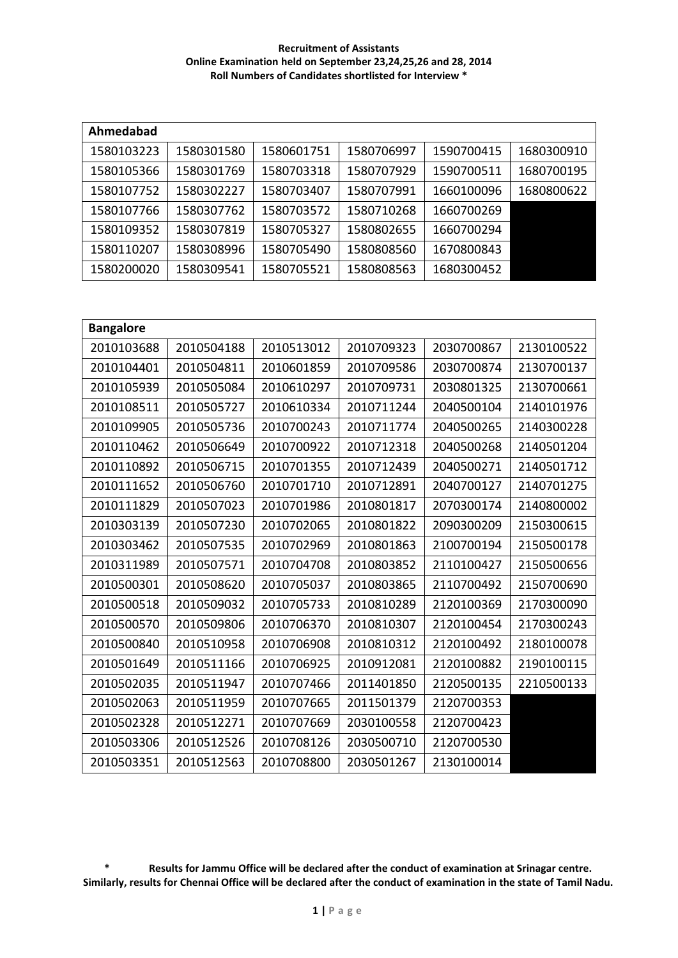| Ahmedabad  |            |            |            |            |            |
|------------|------------|------------|------------|------------|------------|
| 1580103223 | 1580301580 | 1580601751 | 1580706997 | 1590700415 | 1680300910 |
| 1580105366 | 1580301769 | 1580703318 | 1580707929 | 1590700511 | 1680700195 |
| 1580107752 | 1580302227 | 1580703407 | 1580707991 | 1660100096 | 1680800622 |
| 1580107766 | 1580307762 | 1580703572 | 1580710268 | 1660700269 |            |
| 1580109352 | 1580307819 | 1580705327 | 1580802655 | 1660700294 |            |
| 1580110207 | 1580308996 | 1580705490 | 1580808560 | 1670800843 |            |
| 1580200020 | 1580309541 | 1580705521 | 1580808563 | 1680300452 |            |

| <b>Bangalore</b> |            |            |            |            |            |
|------------------|------------|------------|------------|------------|------------|
| 2010103688       | 2010504188 | 2010513012 | 2010709323 | 2030700867 | 2130100522 |
| 2010104401       | 2010504811 | 2010601859 | 2010709586 | 2030700874 | 2130700137 |
| 2010105939       | 2010505084 | 2010610297 | 2010709731 | 2030801325 | 2130700661 |
| 2010108511       | 2010505727 | 2010610334 | 2010711244 | 2040500104 | 2140101976 |
| 2010109905       | 2010505736 | 2010700243 | 2010711774 | 2040500265 | 2140300228 |
| 2010110462       | 2010506649 | 2010700922 | 2010712318 | 2040500268 | 2140501204 |
| 2010110892       | 2010506715 | 2010701355 | 2010712439 | 2040500271 | 2140501712 |
| 2010111652       | 2010506760 | 2010701710 | 2010712891 | 2040700127 | 2140701275 |
| 2010111829       | 2010507023 | 2010701986 | 2010801817 | 2070300174 | 2140800002 |
| 2010303139       | 2010507230 | 2010702065 | 2010801822 | 2090300209 | 2150300615 |
| 2010303462       | 2010507535 | 2010702969 | 2010801863 | 2100700194 | 2150500178 |
| 2010311989       | 2010507571 | 2010704708 | 2010803852 | 2110100427 | 2150500656 |
| 2010500301       | 2010508620 | 2010705037 | 2010803865 | 2110700492 | 2150700690 |
| 2010500518       | 2010509032 | 2010705733 | 2010810289 | 2120100369 | 2170300090 |
| 2010500570       | 2010509806 | 2010706370 | 2010810307 | 2120100454 | 2170300243 |
| 2010500840       | 2010510958 | 2010706908 | 2010810312 | 2120100492 | 2180100078 |
| 2010501649       | 2010511166 | 2010706925 | 2010912081 | 2120100882 | 2190100115 |
| 2010502035       | 2010511947 | 2010707466 | 2011401850 | 2120500135 | 2210500133 |
| 2010502063       | 2010511959 | 2010707665 | 2011501379 | 2120700353 |            |
| 2010502328       | 2010512271 | 2010707669 | 2030100558 | 2120700423 |            |
| 2010503306       | 2010512526 | 2010708126 | 2030500710 | 2120700530 |            |
| 2010503351       | 2010512563 | 2010708800 | 2030501267 | 2130100014 |            |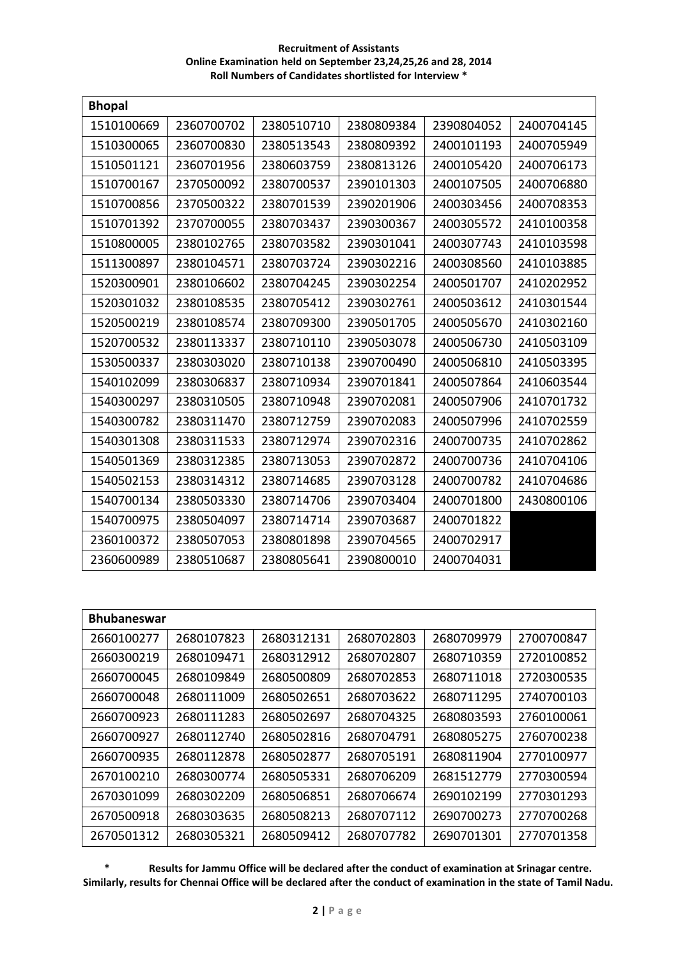| <b>Bhopal</b> |            |            |            |            |            |
|---------------|------------|------------|------------|------------|------------|
| 1510100669    | 2360700702 | 2380510710 | 2380809384 | 2390804052 | 2400704145 |
| 1510300065    | 2360700830 | 2380513543 | 2380809392 | 2400101193 | 2400705949 |
| 1510501121    | 2360701956 | 2380603759 | 2380813126 | 2400105420 | 2400706173 |
| 1510700167    | 2370500092 | 2380700537 | 2390101303 | 2400107505 | 2400706880 |
| 1510700856    | 2370500322 | 2380701539 | 2390201906 | 2400303456 | 2400708353 |
| 1510701392    | 2370700055 | 2380703437 | 2390300367 | 2400305572 | 2410100358 |
| 1510800005    | 2380102765 | 2380703582 | 2390301041 | 2400307743 | 2410103598 |
| 1511300897    | 2380104571 | 2380703724 | 2390302216 | 2400308560 | 2410103885 |
| 1520300901    | 2380106602 | 2380704245 | 2390302254 | 2400501707 | 2410202952 |
| 1520301032    | 2380108535 | 2380705412 | 2390302761 | 2400503612 | 2410301544 |
| 1520500219    | 2380108574 | 2380709300 | 2390501705 | 2400505670 | 2410302160 |
| 1520700532    | 2380113337 | 2380710110 | 2390503078 | 2400506730 | 2410503109 |
| 1530500337    | 2380303020 | 2380710138 | 2390700490 | 2400506810 | 2410503395 |
| 1540102099    | 2380306837 | 2380710934 | 2390701841 | 2400507864 | 2410603544 |
| 1540300297    | 2380310505 | 2380710948 | 2390702081 | 2400507906 | 2410701732 |
| 1540300782    | 2380311470 | 2380712759 | 2390702083 | 2400507996 | 2410702559 |
| 1540301308    | 2380311533 | 2380712974 | 2390702316 | 2400700735 | 2410702862 |
| 1540501369    | 2380312385 | 2380713053 | 2390702872 | 2400700736 | 2410704106 |
| 1540502153    | 2380314312 | 2380714685 | 2390703128 | 2400700782 | 2410704686 |
| 1540700134    | 2380503330 | 2380714706 | 2390703404 | 2400701800 | 2430800106 |
| 1540700975    | 2380504097 | 2380714714 | 2390703687 | 2400701822 |            |
| 2360100372    | 2380507053 | 2380801898 | 2390704565 | 2400702917 |            |
| 2360600989    | 2380510687 | 2380805641 | 2390800010 | 2400704031 |            |

| <b>Bhubaneswar</b> |            |            |            |            |            |  |  |  |
|--------------------|------------|------------|------------|------------|------------|--|--|--|
| 2660100277         | 2680107823 | 2680312131 | 2680702803 | 2680709979 | 2700700847 |  |  |  |
| 2660300219         | 2680109471 | 2680312912 | 2680702807 | 2680710359 | 2720100852 |  |  |  |
| 2660700045         | 2680109849 | 2680500809 | 2680702853 | 2680711018 | 2720300535 |  |  |  |
| 2660700048         | 2680111009 | 2680502651 | 2680703622 | 2680711295 | 2740700103 |  |  |  |
| 2660700923         | 2680111283 | 2680502697 | 2680704325 | 2680803593 | 2760100061 |  |  |  |
| 2660700927         | 2680112740 | 2680502816 | 2680704791 | 2680805275 | 2760700238 |  |  |  |
| 2660700935         | 2680112878 | 2680502877 | 2680705191 | 2680811904 | 2770100977 |  |  |  |
| 2670100210         | 2680300774 | 2680505331 | 2680706209 | 2681512779 | 2770300594 |  |  |  |
| 2670301099         | 2680302209 | 2680506851 | 2680706674 | 2690102199 | 2770301293 |  |  |  |
| 2670500918         | 2680303635 | 2680508213 | 2680707112 | 2690700273 | 2770700268 |  |  |  |
| 2670501312         | 2680305321 | 2680509412 | 2680707782 | 2690701301 | 2770701358 |  |  |  |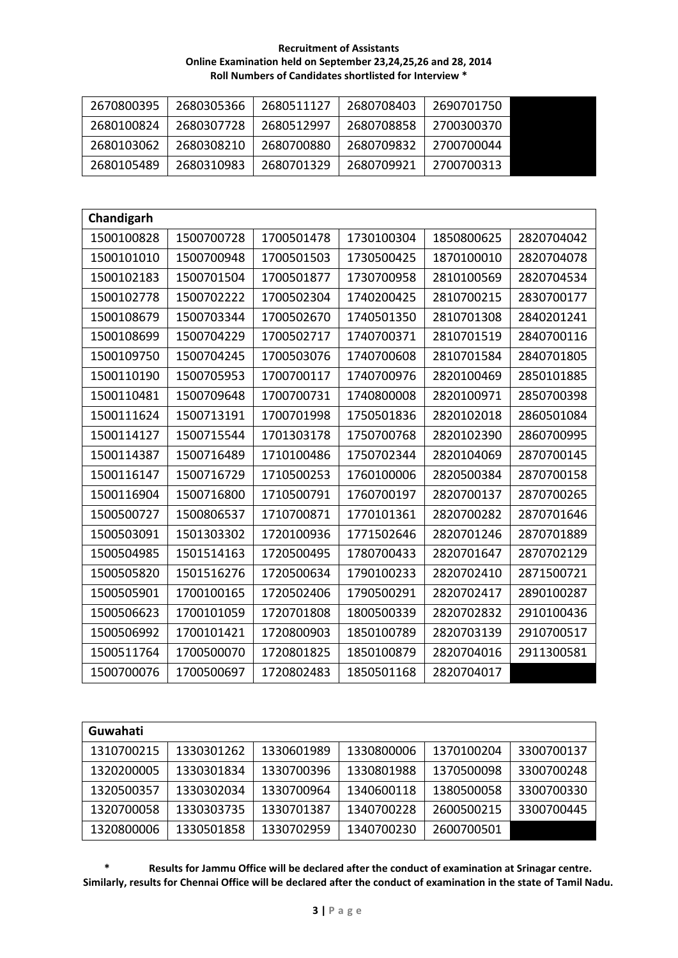| 2670800395 | 2680305366 | 2680511127 | 2680708403 | 2690701750 |
|------------|------------|------------|------------|------------|
| 2680100824 | 2680307728 | 2680512997 | 2680708858 | 2700300370 |
| 2680103062 | 2680308210 | 2680700880 | 2680709832 | 2700700044 |
| 2680105489 | 2680310983 | 2680701329 | 2680709921 | 2700700313 |

| Chandigarh |            |            |            |            |            |
|------------|------------|------------|------------|------------|------------|
| 1500100828 | 1500700728 | 1700501478 | 1730100304 | 1850800625 | 2820704042 |
| 1500101010 | 1500700948 | 1700501503 | 1730500425 | 1870100010 | 2820704078 |
| 1500102183 | 1500701504 | 1700501877 | 1730700958 | 2810100569 | 2820704534 |
| 1500102778 | 1500702222 | 1700502304 | 1740200425 | 2810700215 | 2830700177 |
| 1500108679 | 1500703344 | 1700502670 | 1740501350 | 2810701308 | 2840201241 |
| 1500108699 | 1500704229 | 1700502717 | 1740700371 | 2810701519 | 2840700116 |
| 1500109750 | 1500704245 | 1700503076 | 1740700608 | 2810701584 | 2840701805 |
| 1500110190 | 1500705953 | 1700700117 | 1740700976 | 2820100469 | 2850101885 |
| 1500110481 | 1500709648 | 1700700731 | 1740800008 | 2820100971 | 2850700398 |
| 1500111624 | 1500713191 | 1700701998 | 1750501836 | 2820102018 | 2860501084 |
| 1500114127 | 1500715544 | 1701303178 | 1750700768 | 2820102390 | 2860700995 |
| 1500114387 | 1500716489 | 1710100486 | 1750702344 | 2820104069 | 2870700145 |
| 1500116147 | 1500716729 | 1710500253 | 1760100006 | 2820500384 | 2870700158 |
| 1500116904 | 1500716800 | 1710500791 | 1760700197 | 2820700137 | 2870700265 |
| 1500500727 | 1500806537 | 1710700871 | 1770101361 | 2820700282 | 2870701646 |
| 1500503091 | 1501303302 | 1720100936 | 1771502646 | 2820701246 | 2870701889 |
| 1500504985 | 1501514163 | 1720500495 | 1780700433 | 2820701647 | 2870702129 |
| 1500505820 | 1501516276 | 1720500634 | 1790100233 | 2820702410 | 2871500721 |
| 1500505901 | 1700100165 | 1720502406 | 1790500291 | 2820702417 | 2890100287 |
| 1500506623 | 1700101059 | 1720701808 | 1800500339 | 2820702832 | 2910100436 |
| 1500506992 | 1700101421 | 1720800903 | 1850100789 | 2820703139 | 2910700517 |
| 1500511764 | 1700500070 | 1720801825 | 1850100879 | 2820704016 | 2911300581 |
| 1500700076 | 1700500697 | 1720802483 | 1850501168 | 2820704017 |            |

| Guwahati   |            |            |            |            |            |
|------------|------------|------------|------------|------------|------------|
| 1310700215 | 1330301262 | 1330601989 | 1330800006 | 1370100204 | 3300700137 |
| 1320200005 | 1330301834 | 1330700396 | 1330801988 | 1370500098 | 3300700248 |
| 1320500357 | 1330302034 | 1330700964 | 1340600118 | 1380500058 | 3300700330 |
| 1320700058 | 1330303735 | 1330701387 | 1340700228 | 2600500215 | 3300700445 |
| 1320800006 | 1330501858 | 1330702959 | 1340700230 | 2600700501 |            |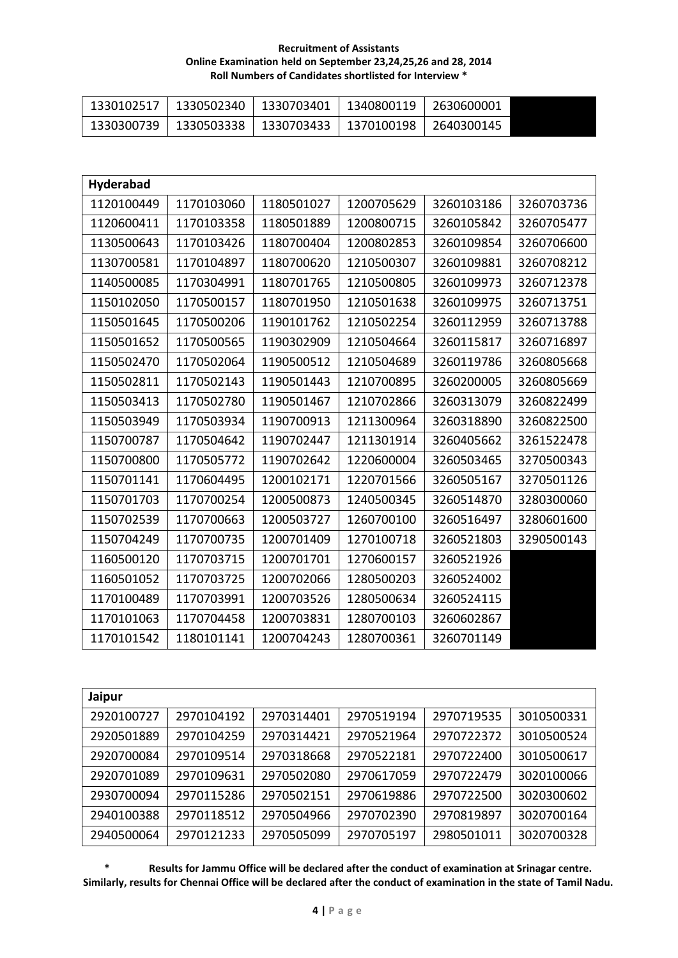| 1330102517 | 1330502340   1330703401   1340800119 | 2630600001 |
|------------|--------------------------------------|------------|
| 1330300739 | 1330503338   1330703433   1370100198 | 2640300145 |

| <b>Hyderabad</b> |            |            |            |            |            |
|------------------|------------|------------|------------|------------|------------|
| 1120100449       | 1170103060 | 1180501027 | 1200705629 | 3260103186 | 3260703736 |
| 1120600411       | 1170103358 | 1180501889 | 1200800715 | 3260105842 | 3260705477 |
| 1130500643       | 1170103426 | 1180700404 | 1200802853 | 3260109854 | 3260706600 |
| 1130700581       | 1170104897 | 1180700620 | 1210500307 | 3260109881 | 3260708212 |
| 1140500085       | 1170304991 | 1180701765 | 1210500805 | 3260109973 | 3260712378 |
| 1150102050       | 1170500157 | 1180701950 | 1210501638 | 3260109975 | 3260713751 |
| 1150501645       | 1170500206 | 1190101762 | 1210502254 | 3260112959 | 3260713788 |
| 1150501652       | 1170500565 | 1190302909 | 1210504664 | 3260115817 | 3260716897 |
| 1150502470       | 1170502064 | 1190500512 | 1210504689 | 3260119786 | 3260805668 |
| 1150502811       | 1170502143 | 1190501443 | 1210700895 | 3260200005 | 3260805669 |
| 1150503413       | 1170502780 | 1190501467 | 1210702866 | 3260313079 | 3260822499 |
| 1150503949       | 1170503934 | 1190700913 | 1211300964 | 3260318890 | 3260822500 |
| 1150700787       | 1170504642 | 1190702447 | 1211301914 | 3260405662 | 3261522478 |
| 1150700800       | 1170505772 | 1190702642 | 1220600004 | 3260503465 | 3270500343 |
| 1150701141       | 1170604495 | 1200102171 | 1220701566 | 3260505167 | 3270501126 |
| 1150701703       | 1170700254 | 1200500873 | 1240500345 | 3260514870 | 3280300060 |
| 1150702539       | 1170700663 | 1200503727 | 1260700100 | 3260516497 | 3280601600 |
| 1150704249       | 1170700735 | 1200701409 | 1270100718 | 3260521803 | 3290500143 |
| 1160500120       | 1170703715 | 1200701701 | 1270600157 | 3260521926 |            |
| 1160501052       | 1170703725 | 1200702066 | 1280500203 | 3260524002 |            |
| 1170100489       | 1170703991 | 1200703526 | 1280500634 | 3260524115 |            |
| 1170101063       | 1170704458 | 1200703831 | 1280700103 | 3260602867 |            |
| 1170101542       | 1180101141 | 1200704243 | 1280700361 | 3260701149 |            |

| Jaipur     |            |            |            |            |            |
|------------|------------|------------|------------|------------|------------|
| 2920100727 | 2970104192 | 2970314401 | 2970519194 | 2970719535 | 3010500331 |
| 2920501889 | 2970104259 | 2970314421 | 2970521964 | 2970722372 | 3010500524 |
| 2920700084 | 2970109514 | 2970318668 | 2970522181 | 2970722400 | 3010500617 |
| 2920701089 | 2970109631 | 2970502080 | 2970617059 | 2970722479 | 3020100066 |
| 2930700094 | 2970115286 | 2970502151 | 2970619886 | 2970722500 | 3020300602 |
| 2940100388 | 2970118512 | 2970504966 | 2970702390 | 2970819897 | 3020700164 |
| 2940500064 | 2970121233 | 2970505099 | 2970705197 | 2980501011 | 3020700328 |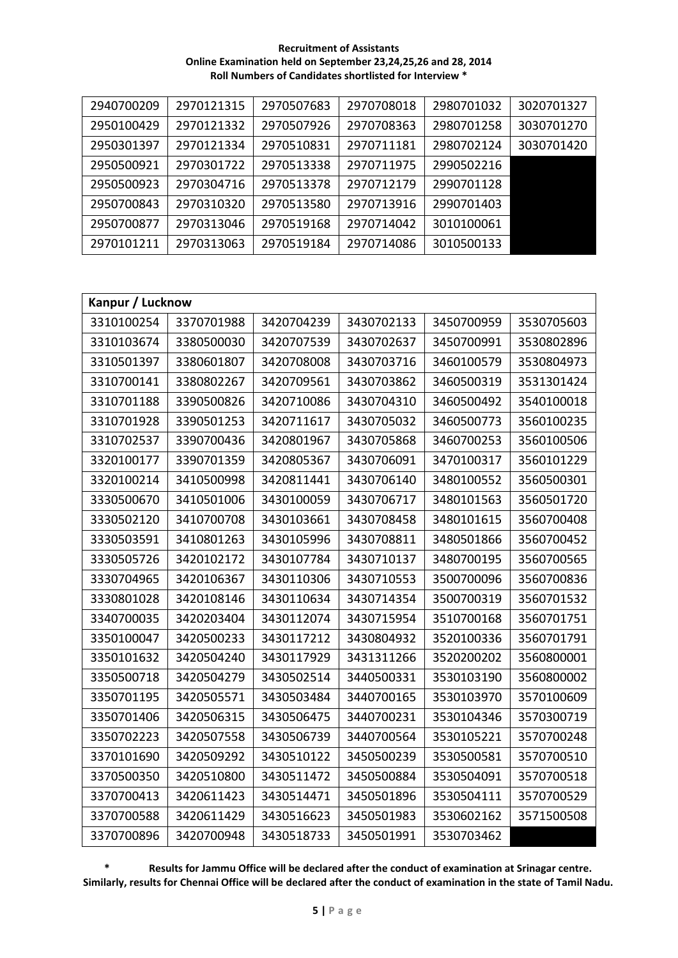**Recruitment of Assistants Online Examination held on September 23,24,25,26 and 28, 2014 Roll Numbers of Candidates shortlisted for Interview \***

| 2940700209 | 2970121315 | 2970507683 | 2970708018 | 2980701032 | 3020701327 |
|------------|------------|------------|------------|------------|------------|
| 2950100429 | 2970121332 | 2970507926 | 2970708363 | 2980701258 | 3030701270 |
| 2950301397 | 2970121334 | 2970510831 | 2970711181 | 2980702124 | 3030701420 |
| 2950500921 | 2970301722 | 2970513338 | 2970711975 | 2990502216 |            |
| 2950500923 | 2970304716 | 2970513378 | 2970712179 | 2990701128 |            |
| 2950700843 | 2970310320 | 2970513580 | 2970713916 | 2990701403 |            |
| 2950700877 | 2970313046 | 2970519168 | 2970714042 | 3010100061 |            |
| 2970101211 | 2970313063 | 2970519184 | 2970714086 | 3010500133 |            |

| Kanpur / Lucknow |            |            |            |            |            |  |  |
|------------------|------------|------------|------------|------------|------------|--|--|
| 3310100254       | 3370701988 | 3420704239 | 3430702133 | 3450700959 | 3530705603 |  |  |
| 3310103674       | 3380500030 | 3420707539 | 3430702637 | 3450700991 | 3530802896 |  |  |
| 3310501397       | 3380601807 | 3420708008 | 3430703716 | 3460100579 | 3530804973 |  |  |
| 3310700141       | 3380802267 | 3420709561 | 3430703862 | 3460500319 | 3531301424 |  |  |
| 3310701188       | 3390500826 | 3420710086 | 3430704310 | 3460500492 | 3540100018 |  |  |
| 3310701928       | 3390501253 | 3420711617 | 3430705032 | 3460500773 | 3560100235 |  |  |
| 3310702537       | 3390700436 | 3420801967 | 3430705868 | 3460700253 | 3560100506 |  |  |
| 3320100177       | 3390701359 | 3420805367 | 3430706091 | 3470100317 | 3560101229 |  |  |
| 3320100214       | 3410500998 | 3420811441 | 3430706140 | 3480100552 | 3560500301 |  |  |
| 3330500670       | 3410501006 | 3430100059 | 3430706717 | 3480101563 | 3560501720 |  |  |
| 3330502120       | 3410700708 | 3430103661 | 3430708458 | 3480101615 | 3560700408 |  |  |
| 3330503591       | 3410801263 | 3430105996 | 3430708811 | 3480501866 | 3560700452 |  |  |
| 3330505726       | 3420102172 | 3430107784 | 3430710137 | 3480700195 | 3560700565 |  |  |
| 3330704965       | 3420106367 | 3430110306 | 3430710553 | 3500700096 | 3560700836 |  |  |
| 3330801028       | 3420108146 | 3430110634 | 3430714354 | 3500700319 | 3560701532 |  |  |
| 3340700035       | 3420203404 | 3430112074 | 3430715954 | 3510700168 | 3560701751 |  |  |
| 3350100047       | 3420500233 | 3430117212 | 3430804932 | 3520100336 | 3560701791 |  |  |
| 3350101632       | 3420504240 | 3430117929 | 3431311266 | 3520200202 | 3560800001 |  |  |
| 3350500718       | 3420504279 | 3430502514 | 3440500331 | 3530103190 | 3560800002 |  |  |
| 3350701195       | 3420505571 | 3430503484 | 3440700165 | 3530103970 | 3570100609 |  |  |
| 3350701406       | 3420506315 | 3430506475 | 3440700231 | 3530104346 | 3570300719 |  |  |
| 3350702223       | 3420507558 | 3430506739 | 3440700564 | 3530105221 | 3570700248 |  |  |
| 3370101690       | 3420509292 | 3430510122 | 3450500239 | 3530500581 | 3570700510 |  |  |
| 3370500350       | 3420510800 | 3430511472 | 3450500884 | 3530504091 | 3570700518 |  |  |
| 3370700413       | 3420611423 | 3430514471 | 3450501896 | 3530504111 | 3570700529 |  |  |
| 3370700588       | 3420611429 | 3430516623 | 3450501983 | 3530602162 | 3571500508 |  |  |
| 3370700896       | 3420700948 | 3430518733 | 3450501991 | 3530703462 |            |  |  |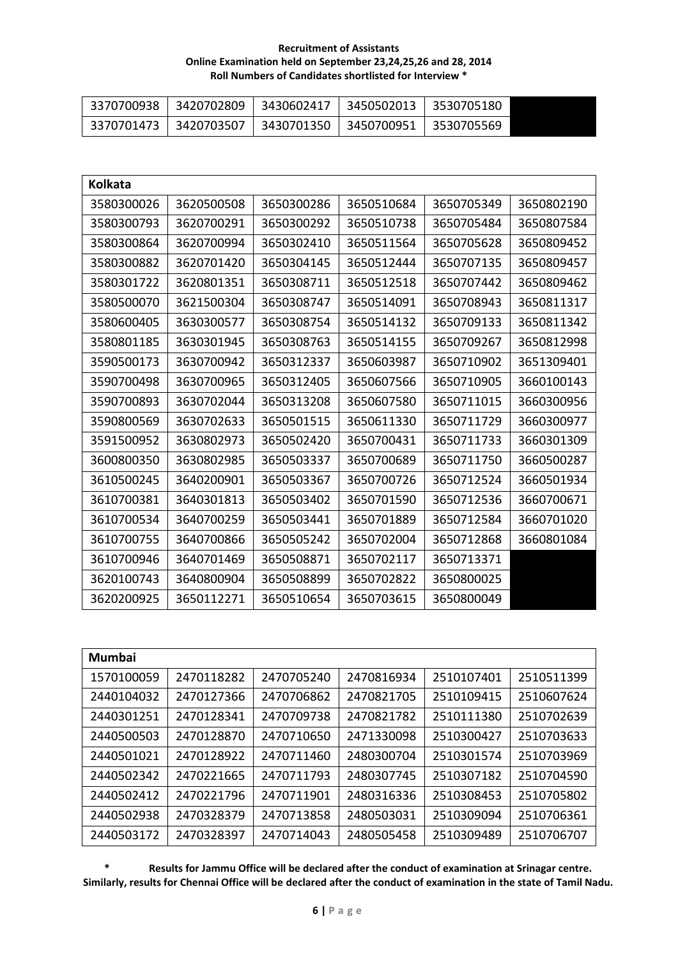| 3370700938 |            | 3420702809 3430602417 3450502013 3530705180 |  |
|------------|------------|---------------------------------------------|--|
| 3370701473 | 3420703507 | 3430701350   3450700951   3530705569        |  |

| <b>Kolkata</b> |            |            |            |            |            |
|----------------|------------|------------|------------|------------|------------|
| 3580300026     | 3620500508 | 3650300286 | 3650510684 | 3650705349 | 3650802190 |
| 3580300793     | 3620700291 | 3650300292 | 3650510738 | 3650705484 | 3650807584 |
| 3580300864     | 3620700994 | 3650302410 | 3650511564 | 3650705628 | 3650809452 |
| 3580300882     | 3620701420 | 3650304145 | 3650512444 | 3650707135 | 3650809457 |
| 3580301722     | 3620801351 | 3650308711 | 3650512518 | 3650707442 | 3650809462 |
| 3580500070     | 3621500304 | 3650308747 | 3650514091 | 3650708943 | 3650811317 |
| 3580600405     | 3630300577 | 3650308754 | 3650514132 | 3650709133 | 3650811342 |
| 3580801185     | 3630301945 | 3650308763 | 3650514155 | 3650709267 | 3650812998 |
| 3590500173     | 3630700942 | 3650312337 | 3650603987 | 3650710902 | 3651309401 |
| 3590700498     | 3630700965 | 3650312405 | 3650607566 | 3650710905 | 3660100143 |
| 3590700893     | 3630702044 | 3650313208 | 3650607580 | 3650711015 | 3660300956 |
| 3590800569     | 3630702633 | 3650501515 | 3650611330 | 3650711729 | 3660300977 |
| 3591500952     | 3630802973 | 3650502420 | 3650700431 | 3650711733 | 3660301309 |
| 3600800350     | 3630802985 | 3650503337 | 3650700689 | 3650711750 | 3660500287 |
| 3610500245     | 3640200901 | 3650503367 | 3650700726 | 3650712524 | 3660501934 |
| 3610700381     | 3640301813 | 3650503402 | 3650701590 | 3650712536 | 3660700671 |
| 3610700534     | 3640700259 | 3650503441 | 3650701889 | 3650712584 | 3660701020 |
| 3610700755     | 3640700866 | 3650505242 | 3650702004 | 3650712868 | 3660801084 |
| 3610700946     | 3640701469 | 3650508871 | 3650702117 | 3650713371 |            |
| 3620100743     | 3640800904 | 3650508899 | 3650702822 | 3650800025 |            |
| 3620200925     | 3650112271 | 3650510654 | 3650703615 | 3650800049 |            |

| <b>Mumbai</b> |            |            |            |            |            |
|---------------|------------|------------|------------|------------|------------|
| 1570100059    | 2470118282 | 2470705240 | 2470816934 | 2510107401 | 2510511399 |
| 2440104032    | 2470127366 | 2470706862 | 2470821705 | 2510109415 | 2510607624 |
| 2440301251    | 2470128341 | 2470709738 | 2470821782 | 2510111380 | 2510702639 |
| 2440500503    | 2470128870 | 2470710650 | 2471330098 | 2510300427 | 2510703633 |
| 2440501021    | 2470128922 | 2470711460 | 2480300704 | 2510301574 | 2510703969 |
| 2440502342    | 2470221665 | 2470711793 | 2480307745 | 2510307182 | 2510704590 |
| 2440502412    | 2470221796 | 2470711901 | 2480316336 | 2510308453 | 2510705802 |
| 2440502938    | 2470328379 | 2470713858 | 2480503031 | 2510309094 | 2510706361 |
| 2440503172    | 2470328397 | 2470714043 | 2480505458 | 2510309489 | 2510706707 |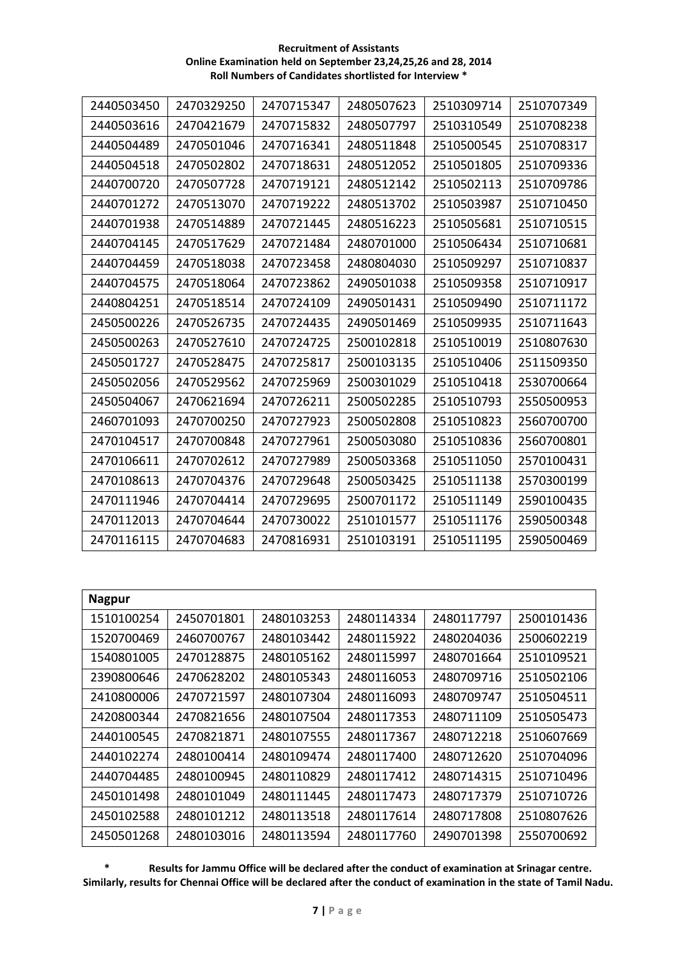| 2440503450 | 2470329250 | 2470715347 | 2480507623 | 2510309714 | 2510707349 |
|------------|------------|------------|------------|------------|------------|
| 2440503616 | 2470421679 | 2470715832 | 2480507797 | 2510310549 | 2510708238 |
| 2440504489 | 2470501046 | 2470716341 | 2480511848 | 2510500545 | 2510708317 |
| 2440504518 | 2470502802 | 2470718631 | 2480512052 | 2510501805 | 2510709336 |
| 2440700720 | 2470507728 | 2470719121 | 2480512142 | 2510502113 | 2510709786 |
| 2440701272 | 2470513070 | 2470719222 | 2480513702 | 2510503987 | 2510710450 |
| 2440701938 | 2470514889 | 2470721445 | 2480516223 | 2510505681 | 2510710515 |
| 2440704145 | 2470517629 | 2470721484 | 2480701000 | 2510506434 | 2510710681 |
| 2440704459 | 2470518038 | 2470723458 | 2480804030 | 2510509297 | 2510710837 |
| 2440704575 | 2470518064 | 2470723862 | 2490501038 | 2510509358 | 2510710917 |
| 2440804251 | 2470518514 | 2470724109 | 2490501431 | 2510509490 | 2510711172 |
| 2450500226 | 2470526735 | 2470724435 | 2490501469 | 2510509935 | 2510711643 |
| 2450500263 | 2470527610 | 2470724725 | 2500102818 | 2510510019 | 2510807630 |
| 2450501727 | 2470528475 | 2470725817 | 2500103135 | 2510510406 | 2511509350 |
| 2450502056 | 2470529562 | 2470725969 | 2500301029 | 2510510418 | 2530700664 |
| 2450504067 | 2470621694 | 2470726211 | 2500502285 | 2510510793 | 2550500953 |
| 2460701093 | 2470700250 | 2470727923 | 2500502808 | 2510510823 | 2560700700 |
| 2470104517 | 2470700848 | 2470727961 | 2500503080 | 2510510836 | 2560700801 |
| 2470106611 | 2470702612 | 2470727989 | 2500503368 | 2510511050 | 2570100431 |
| 2470108613 | 2470704376 | 2470729648 | 2500503425 | 2510511138 | 2570300199 |
| 2470111946 | 2470704414 | 2470729695 | 2500701172 | 2510511149 | 2590100435 |
| 2470112013 | 2470704644 | 2470730022 | 2510101577 | 2510511176 | 2590500348 |
| 2470116115 | 2470704683 | 2470816931 | 2510103191 | 2510511195 | 2590500469 |

| <b>Nagpur</b> |            |            |            |            |            |
|---------------|------------|------------|------------|------------|------------|
| 1510100254    | 2450701801 | 2480103253 | 2480114334 | 2480117797 | 2500101436 |
| 1520700469    | 2460700767 | 2480103442 | 2480115922 | 2480204036 | 2500602219 |
| 1540801005    | 2470128875 | 2480105162 | 2480115997 | 2480701664 | 2510109521 |
| 2390800646    | 2470628202 | 2480105343 | 2480116053 | 2480709716 | 2510502106 |
| 2410800006    | 2470721597 | 2480107304 | 2480116093 | 2480709747 | 2510504511 |
| 2420800344    | 2470821656 | 2480107504 | 2480117353 | 2480711109 | 2510505473 |
| 2440100545    | 2470821871 | 2480107555 | 2480117367 | 2480712218 | 2510607669 |
| 2440102274    | 2480100414 | 2480109474 | 2480117400 | 2480712620 | 2510704096 |
| 2440704485    | 2480100945 | 2480110829 | 2480117412 | 2480714315 | 2510710496 |
| 2450101498    | 2480101049 | 2480111445 | 2480117473 | 2480717379 | 2510710726 |
| 2450102588    | 2480101212 | 2480113518 | 2480117614 | 2480717808 | 2510807626 |
| 2450501268    | 2480103016 | 2480113594 | 2480117760 | 2490701398 | 2550700692 |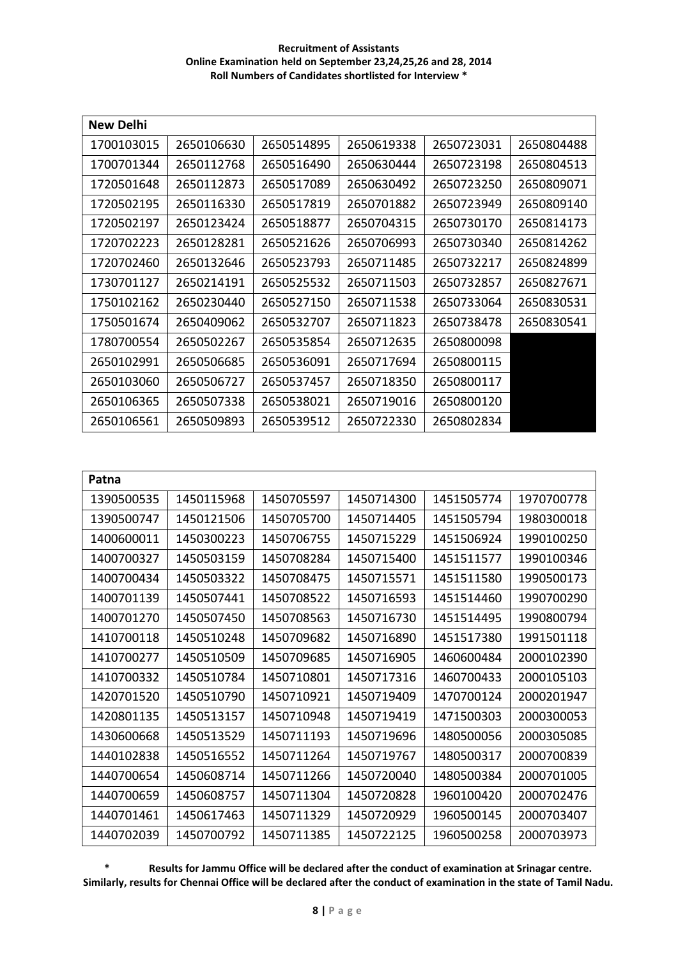| New Delhi  |            |            |            |            |            |
|------------|------------|------------|------------|------------|------------|
| 1700103015 | 2650106630 | 2650514895 | 2650619338 | 2650723031 | 2650804488 |
| 1700701344 | 2650112768 | 2650516490 | 2650630444 | 2650723198 | 2650804513 |
| 1720501648 | 2650112873 | 2650517089 | 2650630492 | 2650723250 | 2650809071 |
| 1720502195 | 2650116330 | 2650517819 | 2650701882 | 2650723949 | 2650809140 |
| 1720502197 | 2650123424 | 2650518877 | 2650704315 | 2650730170 | 2650814173 |
| 1720702223 | 2650128281 | 2650521626 | 2650706993 | 2650730340 | 2650814262 |
| 1720702460 | 2650132646 | 2650523793 | 2650711485 | 2650732217 | 2650824899 |
| 1730701127 | 2650214191 | 2650525532 | 2650711503 | 2650732857 | 2650827671 |
| 1750102162 | 2650230440 | 2650527150 | 2650711538 | 2650733064 | 2650830531 |
| 1750501674 | 2650409062 | 2650532707 | 2650711823 | 2650738478 | 2650830541 |
| 1780700554 | 2650502267 | 2650535854 | 2650712635 | 2650800098 |            |
| 2650102991 | 2650506685 | 2650536091 | 2650717694 | 2650800115 |            |
| 2650103060 | 2650506727 | 2650537457 | 2650718350 | 2650800117 |            |
| 2650106365 | 2650507338 | 2650538021 | 2650719016 | 2650800120 |            |
| 2650106561 | 2650509893 | 2650539512 | 2650722330 | 2650802834 |            |

| Patna      |            |            |            |            |            |
|------------|------------|------------|------------|------------|------------|
| 1390500535 | 1450115968 | 1450705597 | 1450714300 | 1451505774 | 1970700778 |
| 1390500747 | 1450121506 | 1450705700 | 1450714405 | 1451505794 | 1980300018 |
| 1400600011 | 1450300223 | 1450706755 | 1450715229 | 1451506924 | 1990100250 |
| 1400700327 | 1450503159 | 1450708284 | 1450715400 | 1451511577 | 1990100346 |
| 1400700434 | 1450503322 | 1450708475 | 1450715571 | 1451511580 | 1990500173 |
| 1400701139 | 1450507441 | 1450708522 | 1450716593 | 1451514460 | 1990700290 |
| 1400701270 | 1450507450 | 1450708563 | 1450716730 | 1451514495 | 1990800794 |
| 1410700118 | 1450510248 | 1450709682 | 1450716890 | 1451517380 | 1991501118 |
| 1410700277 | 1450510509 | 1450709685 | 1450716905 | 1460600484 | 2000102390 |
| 1410700332 | 1450510784 | 1450710801 | 1450717316 | 1460700433 | 2000105103 |
| 1420701520 | 1450510790 | 1450710921 | 1450719409 | 1470700124 | 2000201947 |
| 1420801135 | 1450513157 | 1450710948 | 1450719419 | 1471500303 | 2000300053 |
| 1430600668 | 1450513529 | 1450711193 | 1450719696 | 1480500056 | 2000305085 |
| 1440102838 | 1450516552 | 1450711264 | 1450719767 | 1480500317 | 2000700839 |
| 1440700654 | 1450608714 | 1450711266 | 1450720040 | 1480500384 | 2000701005 |
| 1440700659 | 1450608757 | 1450711304 | 1450720828 | 1960100420 | 2000702476 |
| 1440701461 | 1450617463 | 1450711329 | 1450720929 | 1960500145 | 2000703407 |
| 1440702039 | 1450700792 | 1450711385 | 1450722125 | 1960500258 | 2000703973 |